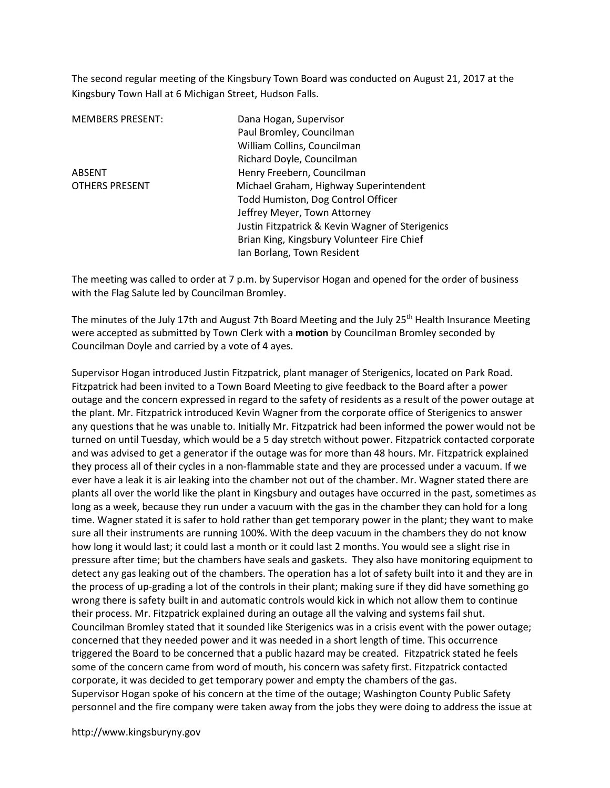The second regular meeting of the Kingsbury Town Board was conducted on August 21, 2017 at the Kingsbury Town Hall at 6 Michigan Street, Hudson Falls.

MEMBERS PRESENT: Dana Hogan, Supervisor

 Paul Bromley, Councilman William Collins, Councilman Richard Doyle, Councilman ABSENT Henry Freebern, Councilman OTHERS PRESENT Michael Graham, Highway Superintendent Todd Humiston, Dog Control Officer Jeffrey Meyer, Town Attorney Justin Fitzpatrick & Kevin Wagner of Sterigenics Brian King, Kingsbury Volunteer Fire Chief Ian Borlang, Town Resident

The meeting was called to order at 7 p.m. by Supervisor Hogan and opened for the order of business with the Flag Salute led by Councilman Bromley.

The minutes of the July 17th and August 7th Board Meeting and the July 25<sup>th</sup> Health Insurance Meeting were accepted as submitted by Town Clerk with a motion by Councilman Bromley seconded by Councilman Doyle and carried by a vote of 4 ayes.

Supervisor Hogan introduced Justin Fitzpatrick, plant manager of Sterigenics, located on Park Road. Fitzpatrick had been invited to a Town Board Meeting to give feedback to the Board after a power outage and the concern expressed in regard to the safety of residents as a result of the power outage at the plant. Mr. Fitzpatrick introduced Kevin Wagner from the corporate office of Sterigenics to answer any questions that he was unable to. Initially Mr. Fitzpatrick had been informed the power would not be turned on until Tuesday, which would be a 5 day stretch without power. Fitzpatrick contacted corporate and was advised to get a generator if the outage was for more than 48 hours. Mr. Fitzpatrick explained they process all of their cycles in a non-flammable state and they are processed under a vacuum. If we ever have a leak it is air leaking into the chamber not out of the chamber. Mr. Wagner stated there are plants all over the world like the plant in Kingsbury and outages have occurred in the past, sometimes as long as a week, because they run under a vacuum with the gas in the chamber they can hold for a long time. Wagner stated it is safer to hold rather than get temporary power in the plant; they want to make sure all their instruments are running 100%. With the deep vacuum in the chambers they do not know how long it would last; it could last a month or it could last 2 months. You would see a slight rise in pressure after time; but the chambers have seals and gaskets. They also have monitoring equipment to detect any gas leaking out of the chambers. The operation has a lot of safety built into it and they are in the process of up-grading a lot of the controls in their plant; making sure if they did have something go wrong there is safety built in and automatic controls would kick in which not allow them to continue their process. Mr. Fitzpatrick explained during an outage all the valving and systems fail shut. Councilman Bromley stated that it sounded like Sterigenics was in a crisis event with the power outage; concerned that they needed power and it was needed in a short length of time. This occurrence triggered the Board to be concerned that a public hazard may be created. Fitzpatrick stated he feels some of the concern came from word of mouth, his concern was safety first. Fitzpatrick contacted corporate, it was decided to get temporary power and empty the chambers of the gas. Supervisor Hogan spoke of his concern at the time of the outage; Washington County Public Safety personnel and the fire company were taken away from the jobs they were doing to address the issue at

http://www.kingsburyny.gov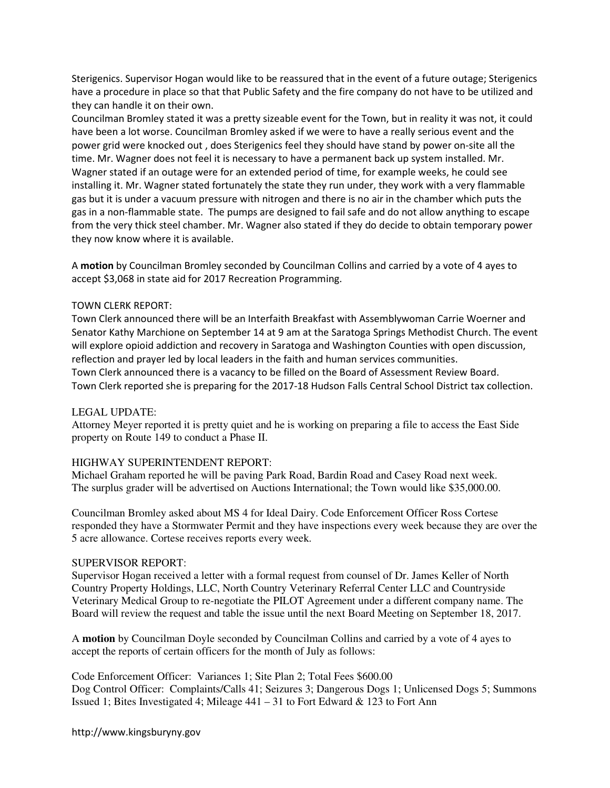Sterigenics. Supervisor Hogan would like to be reassured that in the event of a future outage; Sterigenics have a procedure in place so that that Public Safety and the fire company do not have to be utilized and they can handle it on their own.

Councilman Bromley stated it was a pretty sizeable event for the Town, but in reality it was not, it could have been a lot worse. Councilman Bromley asked if we were to have a really serious event and the power grid were knocked out , does Sterigenics feel they should have stand by power on-site all the time. Mr. Wagner does not feel it is necessary to have a permanent back up system installed. Mr. Wagner stated if an outage were for an extended period of time, for example weeks, he could see installing it. Mr. Wagner stated fortunately the state they run under, they work with a very flammable gas but it is under a vacuum pressure with nitrogen and there is no air in the chamber which puts the gas in a non-flammable state. The pumps are designed to fail safe and do not allow anything to escape from the very thick steel chamber. Mr. Wagner also stated if they do decide to obtain temporary power they now know where it is available.

A motion by Councilman Bromley seconded by Councilman Collins and carried by a vote of 4 ayes to accept \$3,068 in state aid for 2017 Recreation Programming.

#### TOWN CLERK REPORT:

Town Clerk announced there will be an Interfaith Breakfast with Assemblywoman Carrie Woerner and Senator Kathy Marchione on September 14 at 9 am at the Saratoga Springs Methodist Church. The event will explore opioid addiction and recovery in Saratoga and Washington Counties with open discussion, reflection and prayer led by local leaders in the faith and human services communities. Town Clerk announced there is a vacancy to be filled on the Board of Assessment Review Board. Town Clerk reported she is preparing for the 2017-18 Hudson Falls Central School District tax collection.

## LEGAL UPDATE:

Attorney Meyer reported it is pretty quiet and he is working on preparing a file to access the East Side property on Route 149 to conduct a Phase II.

## HIGHWAY SUPERINTENDENT REPORT:

Michael Graham reported he will be paving Park Road, Bardin Road and Casey Road next week. The surplus grader will be advertised on Auctions International; the Town would like \$35,000.00.

Councilman Bromley asked about MS 4 for Ideal Dairy. Code Enforcement Officer Ross Cortese responded they have a Stormwater Permit and they have inspections every week because they are over the 5 acre allowance. Cortese receives reports every week.

#### SUPERVISOR REPORT:

Supervisor Hogan received a letter with a formal request from counsel of Dr. James Keller of North Country Property Holdings, LLC, North Country Veterinary Referral Center LLC and Countryside Veterinary Medical Group to re-negotiate the PILOT Agreement under a different company name. The Board will review the request and table the issue until the next Board Meeting on September 18, 2017.

A **motion** by Councilman Doyle seconded by Councilman Collins and carried by a vote of 4 ayes to accept the reports of certain officers for the month of July as follows:

Code Enforcement Officer: Variances 1; Site Plan 2; Total Fees \$600.00 Dog Control Officer: Complaints/Calls 41; Seizures 3; Dangerous Dogs 1; Unlicensed Dogs 5; Summons Issued 1; Bites Investigated 4; Mileage  $441 - 31$  to Fort Edward & 123 to Fort Ann